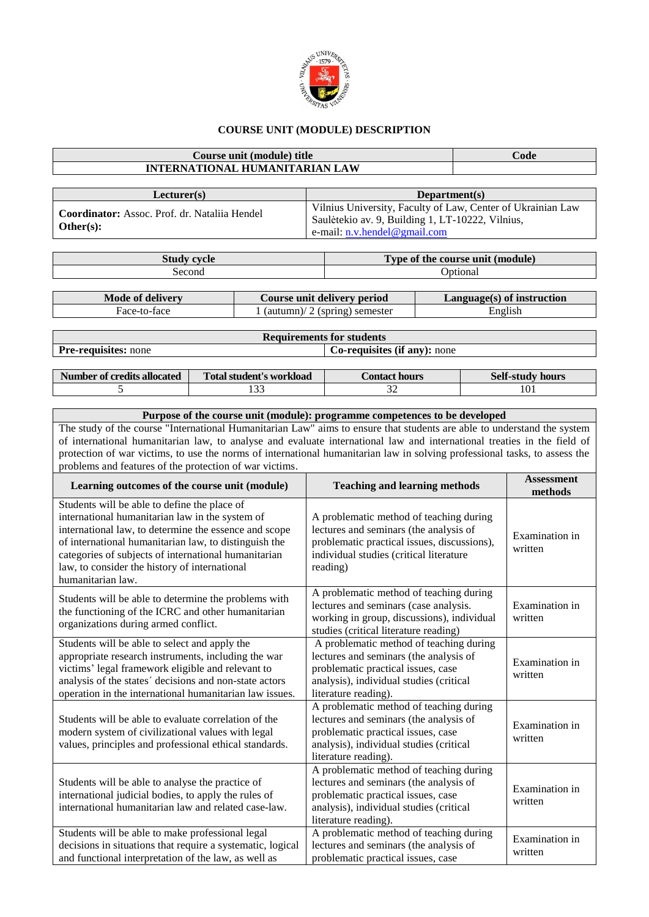

## **COURSE UNIT (MODULE) DESCRIPTION**

## **Course unit (module) title Code INTERNATIONAL HUMANITARIAN LAW Lecturer(s) Department(s) Coordinator:** Assoc. Prof. dr. Nataliia Hendel **Other(s):** Vilnius University, Faculty of Law, Center of Ukrainian Law Saulėtekio av. 9, Building 1, LT-10222, Vilnius, e-mail: [n.v.hendel@gmail.com](mailto:n.v.hendel@gmail.com) **Study cycle Type of the course unit (module)** Second Optional Optional **Mode of delivery Course unit delivery period Language(s) of instruction** Face-to-face 1 (autumn)/ 2 (spring) semester English **Requirements for students**

**Pre-requisites:** none **Co-requisites** (if any): none **Number of credits allocated Total student's workload Contact hours** Self-study hours<br>  $\begin{array}{ccc} 5 & 133 & 32 & 101 \end{array}$ 5 133 130 32 101

| Purpose of the course unit (module): programme competences to be developed                                                 |  |  |  |  |  |  |  |
|----------------------------------------------------------------------------------------------------------------------------|--|--|--|--|--|--|--|
| The study of the course "International Humanitarian Law" aims to ensure that students are able to understand the system    |  |  |  |  |  |  |  |
| of international humanitarian law, to analyse and evaluate international law and international treaties in the field of    |  |  |  |  |  |  |  |
| protection of war victims, to use the norms of international humanitarian law in solving professional tasks, to assess the |  |  |  |  |  |  |  |
| problems and features of the protection of war victims.                                                                    |  |  |  |  |  |  |  |

| Learning outcomes of the course unit (module)                                                                                                                                                                                                                                                                                                   | <b>Teaching and learning methods</b>                                                                                                                                                       | <b>Assessment</b><br>methods |
|-------------------------------------------------------------------------------------------------------------------------------------------------------------------------------------------------------------------------------------------------------------------------------------------------------------------------------------------------|--------------------------------------------------------------------------------------------------------------------------------------------------------------------------------------------|------------------------------|
| Students will be able to define the place of<br>international humanitarian law in the system of<br>international law, to determine the essence and scope<br>of international humanitarian law, to distinguish the<br>categories of subjects of international humanitarian<br>law, to consider the history of international<br>humanitarian law. | A problematic method of teaching during<br>lectures and seminars (the analysis of<br>problematic practical issues, discussions),<br>individual studies (critical literature<br>reading)    | Examination in<br>written    |
| Students will be able to determine the problems with<br>the functioning of the ICRC and other humanitarian<br>organizations during armed conflict.                                                                                                                                                                                              | A problematic method of teaching during<br>lectures and seminars (case analysis.<br>working in group, discussions), individual<br>studies (critical literature reading)                    | Examination in<br>written    |
| Students will be able to select and apply the<br>appropriate research instruments, including the war<br>victims' legal framework eligible and relevant to<br>analysis of the states' decisions and non-state actors<br>operation in the international humanitarian law issues.                                                                  | A problematic method of teaching during<br>lectures and seminars (the analysis of<br>problematic practical issues, case<br>analysis), individual studies (critical<br>literature reading). | Examination in<br>written    |
| Students will be able to evaluate correlation of the<br>modern system of civilizational values with legal<br>values, principles and professional ethical standards.                                                                                                                                                                             | A problematic method of teaching during<br>lectures and seminars (the analysis of<br>problematic practical issues, case<br>analysis), individual studies (critical<br>literature reading). | Examination in<br>written    |
| Students will be able to analyse the practice of<br>international judicial bodies, to apply the rules of<br>international humanitarian law and related case-law.                                                                                                                                                                                | A problematic method of teaching during<br>lectures and seminars (the analysis of<br>problematic practical issues, case<br>analysis), individual studies (critical<br>literature reading). | Examination in<br>written    |
| Students will be able to make professional legal<br>decisions in situations that require a systematic, logical<br>and functional interpretation of the law, as well as                                                                                                                                                                          | A problematic method of teaching during<br>lectures and seminars (the analysis of<br>problematic practical issues, case                                                                    | Examination in<br>written    |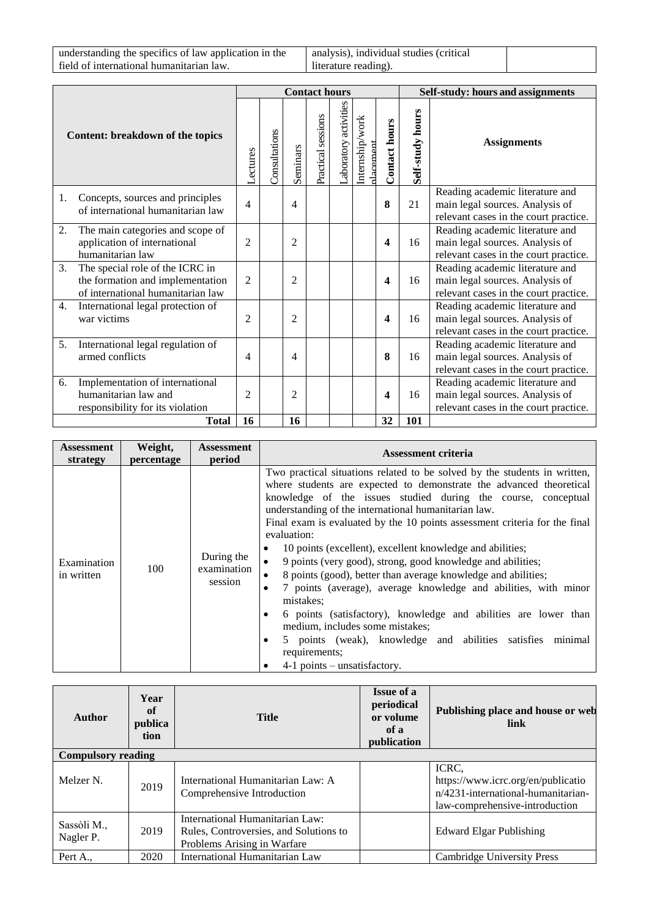understanding the specifics of law application in the field of international humanitarian law.

analysis), individual studies (critical literature reading).

|                                  |                                                                                                          |                       | <b>Contact hours</b> |                |                    |                       |                             |                      | Self-study: hours and assignments |                                                                                                             |
|----------------------------------|----------------------------------------------------------------------------------------------------------|-----------------------|----------------------|----------------|--------------------|-----------------------|-----------------------------|----------------------|-----------------------------------|-------------------------------------------------------------------------------------------------------------|
| Content: breakdown of the topics |                                                                                                          | <b><i>Actures</i></b> | Consultations        | Seminars       | Practical sessions | Laboratory activities | Internship/work<br>dacement | <b>Contact hours</b> | Self-study hours                  | <b>Assignments</b>                                                                                          |
| 1.                               | Concepts, sources and principles<br>of international humanitarian law                                    | 4                     |                      | 4              |                    |                       |                             | 8                    | 21                                | Reading academic literature and<br>main legal sources. Analysis of<br>relevant cases in the court practice. |
| 2.                               | The main categories and scope of<br>application of international<br>humanitarian law                     | $\overline{c}$        |                      | $\overline{2}$ |                    |                       |                             | 4                    | 16                                | Reading academic literature and<br>main legal sources. Analysis of<br>relevant cases in the court practice. |
| 3.                               | The special role of the ICRC in<br>the formation and implementation<br>of international humanitarian law | $\overline{2}$        |                      | $\overline{2}$ |                    |                       |                             | 4                    | 16                                | Reading academic literature and<br>main legal sources. Analysis of<br>relevant cases in the court practice. |
| 4.                               | International legal protection of<br>war victims                                                         | $\overline{c}$        |                      | $\overline{2}$ |                    |                       |                             | 4                    | 16                                | Reading academic literature and<br>main legal sources. Analysis of<br>relevant cases in the court practice. |
| 5.                               | International legal regulation of<br>armed conflicts                                                     | 4                     |                      | 4              |                    |                       |                             | 8                    | 16                                | Reading academic literature and<br>main legal sources. Analysis of<br>relevant cases in the court practice. |
| 6.                               | Implementation of international<br>humanitarian law and<br>responsibility for its violation              | $\overline{c}$        |                      | $\overline{c}$ |                    |                       |                             | 4                    | 16                                | Reading academic literature and<br>main legal sources. Analysis of<br>relevant cases in the court practice. |
|                                  | <b>Total</b>                                                                                             | 16                    |                      | 16             |                    |                       |                             | 32                   | 101                               |                                                                                                             |

| Assessment                | Weight,    | <b>Assessment</b>                    | <b>Assessment criteria</b>                                                                                                                                                                                                                                                                                                                                                                                                                                                                                                                                                                                                                                                                                                                                                                                                                                                                                                  |  |  |  |
|---------------------------|------------|--------------------------------------|-----------------------------------------------------------------------------------------------------------------------------------------------------------------------------------------------------------------------------------------------------------------------------------------------------------------------------------------------------------------------------------------------------------------------------------------------------------------------------------------------------------------------------------------------------------------------------------------------------------------------------------------------------------------------------------------------------------------------------------------------------------------------------------------------------------------------------------------------------------------------------------------------------------------------------|--|--|--|
| strategy                  | percentage | period                               |                                                                                                                                                                                                                                                                                                                                                                                                                                                                                                                                                                                                                                                                                                                                                                                                                                                                                                                             |  |  |  |
| Examination<br>in written | 100        | During the<br>examination<br>session | Two practical situations related to be solved by the students in written,<br>where students are expected to demonstrate the advanced theoretical<br>knowledge of the issues studied during the course, conceptual<br>understanding of the international humanitarian law.<br>Final exam is evaluated by the 10 points assessment criteria for the final<br>evaluation:<br>10 points (excellent), excellent knowledge and abilities;<br>9 points (very good), strong, good knowledge and abilities;<br>$\bullet$<br>8 points (good), better than average knowledge and abilities;<br>$\bullet$<br>7 points (average), average knowledge and abilities, with minor<br>$\bullet$<br>mistakes:<br>6 points (satisfactory), knowledge and abilities are lower than<br>٠<br>medium, includes some mistakes;<br>5 points (weak), knowledge and abilities satisfies minimal<br>٠<br>requirements;<br>$4-1$ points – unsatisfactory. |  |  |  |

| <b>Author</b>             | Year<br>of<br>publica<br>tion | <b>Title</b>                                                                                             | <b>Issue of a</b><br>periodical<br>or volume<br>of a<br>publication | Publishing place and house or web<br>link                                                                           |  |  |  |  |
|---------------------------|-------------------------------|----------------------------------------------------------------------------------------------------------|---------------------------------------------------------------------|---------------------------------------------------------------------------------------------------------------------|--|--|--|--|
| <b>Compulsory reading</b> |                               |                                                                                                          |                                                                     |                                                                                                                     |  |  |  |  |
| Melzer <sub>N.</sub>      | 2019                          | International Humanitarian Law: A<br>Comprehensive Introduction                                          |                                                                     | ICRC,<br>https://www.icrc.org/en/publicatio<br>n/4231-international-humanitarian-<br>law-comprehensive-introduction |  |  |  |  |
| Sassòli M.,<br>Nagler P.  | 2019                          | International Humanitarian Law:<br>Rules, Controversies, and Solutions to<br>Problems Arising in Warfare |                                                                     | <b>Edward Elgar Publishing</b>                                                                                      |  |  |  |  |
| Pert A.,                  | 2020                          | International Humanitarian Law                                                                           |                                                                     | Cambridge University Press                                                                                          |  |  |  |  |